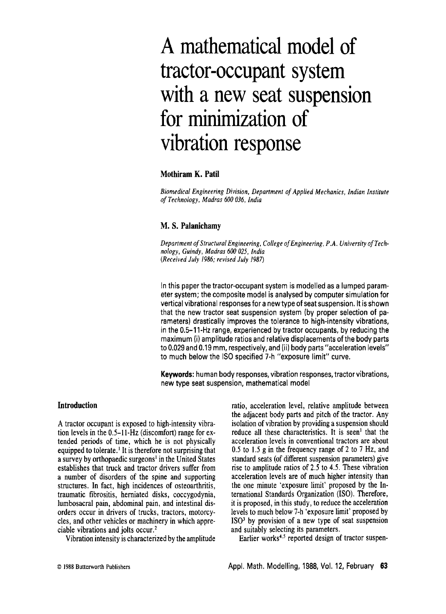# **A mathematical model of tractor-occupant system with a new seat suspension for minimization of vibration response**

# **Mothiram K. Patil**

*Biomedical Engineering Division, Department of Applied Mechanics, Indian Institute of Technology, Madras 600 036, India* 

# **M. S. Palanichamy**

*Department of Structural Engineering, College of Engineering, P.A. University of Technology, Guindy, Madras 600 025, India (Received July 1986; revised July 1987)* 

In this paper the tractor-occupant system is modelled as a lumped parameter system; the composite model is analysed by computer simulation for vertical vibrational responses for a new type of seat suspension. It is shown that the new tractor seat suspension system (by proper selection of parameters) drastically improves the tolerance to high-intensity vibrations, in the 0.5-11-Hz range, experienced by tractor occupants, by reducing the maximum (i) amplitude ratios and relative displacements of the body parts to 0.029 and 0.19 mm, respectively, and (ii) body parts "acceleration levels" to much below the ISO specified 7-h "exposure limit" curve.

**Keywords:** human body responses, vibration responses, tractor vibrations, new type seat suspension, mathematical model

# **Introduction**

A tractor occupant is exposed to high-intensity vibration levels in the 0.5-11-Hz (discomfort) range for extended periods of time, which he is not physically equipped to tolerate.<sup> $\text{I}$ </sup> It is therefore not surprising that a survey by orthopaedic surgeons<sup> $1$ </sup> in the United States establishes that truck and tractor drivers suffer from a number of disorders of the spine and supporting structures. In fact, high incidences of osteoarthritis, traumatic fibrositis, herniated disks, coccygodynia, lumbosacral pain, abdominal pain, and intestinal disorders occur in drivers of trucks, tractors, motorcycles, and other vehicles or machinery in which appreciable vibrations and jolts occur.<sup>2</sup>

Vibration intensity is characterized by the amplitude

ratio, acceleration level, relative amplitude between the adjacent body parts and pitch of the tractor. Any isolation of vibration by providing a suspension should reduce all these characteristics. It is seen<sup>1</sup> that the acceleration levels in conventional tractors are about 0.5 to 1.5 g in the frequency range of 2 to 7 Hz, and standard seats (of different suspension parameters) give rise to amplitude ratios of 2.5 to 4.5. These vibration acceleration levels are of much higher intensity than the one minute 'exposure limit' proposed by the International Standards Organization (ISO). Therefore, it is proposed, in this study, to reduce the acceleration levels to much below 7-h 'exposure limit' proposed by  $ISO<sup>3</sup>$  by provision of a new type of seat suspension and suitably selecting its parameters.

Earlier works<sup>4,5</sup> reported design of tractor suspen-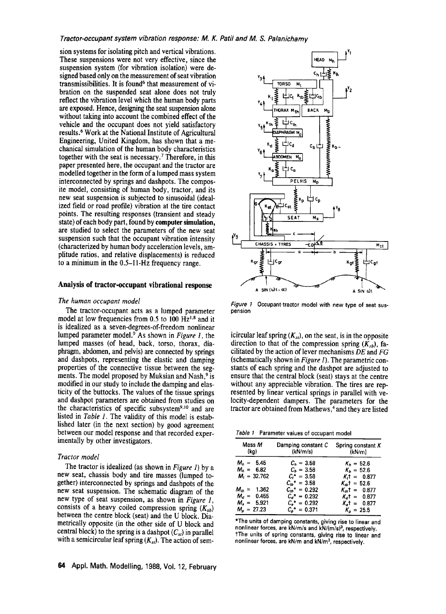sion systems for isolating pitch and vertical vibrations. These suspensions were not very effective, since the suspension system (for vibration isolation) were designed based only on the measurement of seat vibration transmissibilities. It is found  $6$  that measurement of vibration on the suspended seat alone does not truly reflect the vibration level which the human body parts are exposed. Hence, designing the seat suspension alone without taking into account the combined effect of the vehicle and the occupant does not yield satisfactory results. 6 Work at the National Institute of Agricultural Engineering, United Kingdom, has shown that a mechanical simulation of the human body characteristics together with the seat is necessary.<sup>7</sup> Therefore, in this paper presented here, the occupant and the tractor are modelled together in the form of a lumped mass system interconnected by springs and dashpots. The composite model, consisting of human body, tractor, and its new seat suspension is subjected to sinusoidal (idealized field or road profile) vibration at the tire contact points. The resulting responses (transient and steady state) of each body part, found by **computer simulation,**  are studied to select the parameters of the new seat suspension such that the occupant vibration intensity (characterized by human body acceleration levels, amplitude ratios, and relative displacements) is reduced to a minimum in the 0.5-I I-Hz frequency range.

### **Analysis of tractor-occupant vibrational response**

#### *The human occupant model*

The tractor-occupant acts as a lumped parameter model at low frequencies from  $0.5$  to  $100 \text{ Hz}^{1.8}$  and it is idealized as a seven-degrees-of-freedom nonlinear lumped parameter model? As shown in *Figure I,* the lumped masses (of head, back, torso, thorax, diaphragm, abdomen, and pelvis) are connected by springs and dashpots, representing the elastic and damping properties of the connective tissue between the segments. The model proposed by Muksian and Nash,<sup>9</sup> is modified in our study to include the damping and elasticity of the buttocks. The values of the tissue springs and dashpot parameters are obtained from studies on the characteristics of specific subsystem<sup>9,10</sup> and are listed in *Table I.* The validity of this model is established later (in the next section) by good agreement between our model response and that recorded experimentally by other investigators.

#### *Tractor model*

The tractor is idealized (as shown in *Figure 1)* by a new seat, chassis body and tire masses (lumped together) interconnected by springs and dashpots of the new seat suspension. The schematic diagram of the new type of seat suspension, as shown in *Figure 1,*  consists of a heavy coiled compression spring  $(K_{sb})$ between the centre block (seat) and the U block. Diametrically opposite (in the other side of U block and central block) to the spring is a dashpot  $(C_{sl})$  in parallel with a semicircular leaf spring  $(K_{st})$ . The action of sem-



*Figure I* Occupant-tractor model with new type of seat **suspension** 

icircular leaf spring  $(K<sub>st</sub>)$ , on the seat, is in the opposite direction to that of the compression spring  $(K_{ab})$ , facilitated by the action of lever mechanisms *DE* and *FG*  (schematically shown in *Figure I).* The parametric constants of each spring and the dashpot are adjusted to ensure that the central block (seat) stays at the centre without any appreciable vibration. The tires are represented by linear vertical springs in parallel with velocity-dependent dampers. The parameters for the tractor are obtained from Mathews,<sup>4</sup> and they are listed

*Table I* Parameter values of occupant model

| Mass M<br>(kg)                                                                                       | Damping constant C<br>(kN/m/s)                                                                                                 | Spring constant $K$<br>(kN/m)                                                                                               |  |  |
|------------------------------------------------------------------------------------------------------|--------------------------------------------------------------------------------------------------------------------------------|-----------------------------------------------------------------------------------------------------------------------------|--|--|
| $M_h = 5.45$<br>$M_h = 6.82$<br>$M_t = 32.762$<br>$M_{th} = 1.362$<br>$M_a = 0.455$<br>$M_a = 5.921$ | $C_n = 3.58$<br>$C_h = 3.58$<br>$C_1^* = 3.58$<br>$C_{\mu}$ = 3.58<br>$C_{th}$ * = 0.292<br>$C_a^* = 0.292$<br>$C_a^* = 0.292$ | $K_h = 52.6$<br>$K_h = 52.6$<br>$K_t = 0.877$<br>$K_{tb}t = 52.6$<br>$K_{th}t = 0.877$<br>$K_{d}t = 0.877$<br>$K_t = 0.877$ |  |  |
| $M_a = 27.23$                                                                                        | $C_n^* = 0.371$                                                                                                                | $K_{\rm o} = 25.5$                                                                                                          |  |  |

\*The units of damping constants, giving **rise to** linear and nonlinear forces, are kN/m/s and kN/(m/s)<sup>3</sup>, respectively. **tThe** units of spring constants, giving **rise to linear** and nonlinear **forces, are** kN/m and kN/m 3, **respectively.**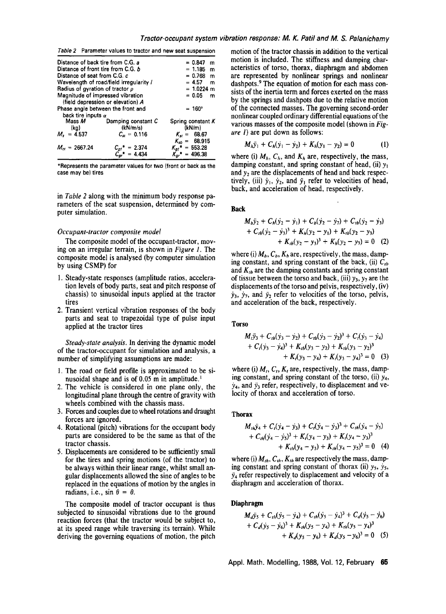| Table 2 Parameter values to tractor and new seat suspension |  |  |  |  |  |  |
|-------------------------------------------------------------|--|--|--|--|--|--|
|-------------------------------------------------------------|--|--|--|--|--|--|

| Distance of back tire from C.G. a  |                                         | $= 0.847$<br>m       |
|------------------------------------|-----------------------------------------|----------------------|
| Distance of front tire from C.G. b |                                         | $= 1.185$<br>m       |
| Distance of seat from C.G. c.      |                                         | $= 0.768$<br>m       |
|                                    | Wavelength of road/field irregularity / | $= 4.57$<br>m        |
| Radius of gyration of tractor p    | $= 1.0224$ m                            |                      |
| Magnitude of impressed vibration   | $= 0.05$<br>m                           |                      |
|                                    | (field depression or elevation) A       |                      |
|                                    | Phase angle between the front and       | $= 160^{\circ}$      |
| back tire inputs $\alpha$          |                                         |                      |
| Mass <i>M</i>                      | Damping constant C                      | Spring constant $K$  |
| (kg)                               | (kN/m/s)                                | (kN/m)               |
| $M_s = 4.537$                      | $C_{\rm cr} = 0.116$                    | $K_{\rm st} = 68.67$ |
|                                    |                                         | $K_{sb} = 68.915$    |
| $M_{\text{cr}} = 2667.24$          | $C_{gf}$ * = 2.374                      | $K_{of}$ * = 553.28  |
|                                    | $C_{\alpha r}^* = 4.434$                | $K_{cr}$ * = 496.38  |

**\*Represents the parameter values for** two (front or back as the **case may be) tires** 

in *Table 2* along with the minimum body response parameters of the seat suspension, determined by computer simulation.

#### *Occupant-tractor composite model*

The composite model of the occupant-tractor, moving on an irregular terrain, is shown in *Figure 1.* The composite model is analysed (by computer simulation by using CSMP) for

- 1. Steady-state responses (amplitude ratios, acceleration levels of body parts, seat and pitch response of chassis) to sinusoidal inputs applied at the tractor tires
- 2. Transient vertical vibration responses of the body parts and seat to trapezoidal type of pulse input applied at the tractor tires

*Steady-state analysis.* In deriving the dynamic model of the tractor-occupant for simulation and analysis, a number of simplifying assumptions are made:

- 1. The road or field profile is approximated to be sinusoidal shape and is of 0.05 m in amplitude.
- 2. The vehicle is considered in one plane only, the longitudinal plane through the centre of gravity with wheels combined with the chassis mass.
- 3. Forces and couples due to wheel rotations and draught forces are ignored.
- 4. Rotational (pitch) vibrations for the occupant body parts are considered to be the same as that of the tractor chassis.
- 5. Displacements are considered to be sufficiently small for the tires and spring motions (of the tractor) to be always within their linear range, whilst small angular displacements allowed the sine of angles to be replaced in the equations of motion by the angles in radians, i.e., sin  $\theta = \theta$ .

The composite model of tractor occupant is thus subjected to sinusoidal vibrations due to the ground reaction forces (that the tractor would be subject to, at its speed range while traversing its terrain). While deriving the governing equations of motion, the pitch

motion of the tractor chassis in addition to the vertical motion is included. The stiffness and damping characteristics of torso, thorax, diaphragm and abdomen are represented by nonlinear springs and nonlinear dashpots.<sup>9</sup> The equation of motion for each mass consists of the inertia term and forces exerted on the mass by the springs and dashpots due to the relative motion of the connected masses. The governing second-order nonlinear coupled ordinary differential equations of the various masses of the composite model (shown in *Figure 1)* are put down as follows:

$$
M_h \ddot{y}_1 + C_h (\dot{y}_1 - \dot{y}_2) + K_h (y_1 - y_2) = 0 \tag{1}
$$

where (i)  $M_h$ ,  $C_h$ , and  $K_h$  are, respectively, the mass, damping constant, and spring constant of head, (ii)  $y_1$ and  $y_2$  are the displacements of head and back respectively, (iii)  $\dot{y}_1$ ,  $\dot{y}_2$ , and  $\ddot{y}_1$  refer to velocities of head, back, and acceleration of head, respectively.

#### **Back**

$$
M_b\ddot{y}_2 + C_h(\dot{y}_2 - \dot{y}_1) + C_b(\dot{y}_2 - \dot{y}_7) + C_{tb}(\dot{y}_2 - \dot{y}_3) + C_{tb}(\dot{y}_2 - \dot{y}_3)^3 + K_h(y_2 - y_1) + K_{tb}(y_2 - y_3) + K_{tb}(y_2 - y_3)^3 + K_b(y_2 - y_7) = 0
$$
 (2)

where (i)  $M_b$ ,  $C_b$ ,  $K_b$  are, respectively, the mass, damping constant, and spring constant of the back, (ii)  $C_{tb}$ and  $K_{b}$  are the damping constants and spring constant of tissue between the torso and back, (iii)  $y_3$ ,  $y_7$  are the displacements of the torso and pelvis, respectively, (iv)  $\dot{y}_3$ ,  $\dot{y}_7$ , and  $\ddot{y}_2$  refer to velocities of the torso, pelvis, and acceleration of the back, respectively.

#### Torso

$$
M_1\ddot{y}_3 + C_{tb}(\dot{y}_3 - \dot{y}_2) + C_{tb}(\dot{y}_3 - \dot{y}_2)^3 + C_t(\dot{y}_3 - \dot{y}_4) + C_t(\dot{y}_3 - \dot{y}_4)^3 + K_{tb}(y_3 - y_2) + K_{tb}(y_3 - y_2)^3 + K_t(y_3 - y_4) + K_t(y_3 - y_4)^3 = 0
$$
 (3)

where (i)  $M_t$ ,  $C_t$ ,  $K_t$  are, respectively, the mass, damping constant, and spring constant of the torso, (ii)  $y_4$ ,  $y_4$ , and  $y_3$  refer, respectively, to displacement and velocity of thorax and acceleration of torso.

## **Thorax**

$$
M_{ih}\ddot{y}_4 + C_i(\dot{y}_4 - \dot{y}_3) + C_i(\dot{y}_4 - \dot{y}_3)^3 + C_{ih}(\dot{y}_4 - \dot{y}_5) + C_{ih}(\dot{y}_4 - \dot{y}_5)^3 + K_i(y_4 - y_3) + K_i(y_4 - y_3)^3 + K_{ih}(y_4 - y_5) + K_{ih}(y_4 - y_5)^3 = 0
$$
 (4)

where (i)  $M_{th}$ ,  $C_{th}$ ,  $K_{th}$  are respectively the mass, damping constant and spring constant of thorax (ii)  $y_5$ ,  $y_5$ ,  $\ddot{v}_4$  refer respectively to displacement and velocity of a diaphragm and acceleration of thorax.

#### **Diaphragm**

$$
M_d\ddot{y}_5 + C_{th}(\dot{y}_5 - \dot{y}_4) + C_{th}(\dot{y}_5 - \dot{y}_4)^3 + C_d(\dot{y}_5 - \dot{y}_6) + C_d(\dot{y}_5 - \dot{y}_6)^3 + K_{th}(y_5 - y_4) + K_{th}(y_5 - y_4)^3 + K_d(y_5 - y_6) + K_d(y_5 - y_6)^3 = 0
$$
 (5)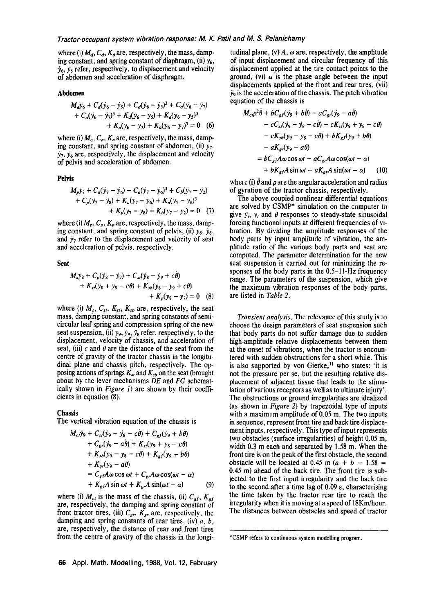where (i)  $M<sub>d</sub>$ ,  $C<sub>d</sub>$ ,  $K<sub>d</sub>$  are, respectively, the mass, damping constant, and spring constant of diaphragm, (ii)  $y_6$ ,  $\dot{y}_6$ ,  $\ddot{y}_5$  refer, respectively, to displacement and velocity of abdomen and acceleration of diaphragm.

#### **Abdomen**

$$
M_a\ddot{y}_6 + C_d(\dot{y}_6 - \dot{y}_5) + C_d(\dot{y}_6 - \dot{y}_5)^3 + C_d(\dot{y}_6 - \dot{y}_7) + C_a(\dot{y}_6 - \dot{y}_7)^3 + K_d(y_6 - y_5) + K_d(y_6 - y_5)^3 + K_a(y_6 - y_7) + K_a(y_6 - y_7)^3 = 0
$$
 (6)

where (i)  $M_a$ ,  $C_a$ ,  $K_a$  are, respectively, the mass, damping constant, and spring constant of abdomen, (ii)  $y_7$ .  $y_7$ ,  $y_6$  are, respectively, the displacement and velocity of pelvis and acceleration of abdomen.

#### Pelvis

$$
M_p \ddot{y}_7 + C_a(\dot{y}_7 - \dot{y}_6) + C_a(\dot{y}_7 - \dot{y}_6)^3 + C_b(\dot{y}_7 - \dot{y}_2) + C_p(\dot{y}_7 - \dot{y}_8) + K_a(\dot{y}_7 - \dot{y}_6) + K_a(\dot{y}_7 - \dot{y}_6)^3 + K_p(\dot{y}_7 - \dot{y}_8) + K_b(\dot{y}_7 - \dot{y}_2) = 0
$$
 (7)

where (i)  $M_p$ ,  $C_p$ ,  $K_p$  are, respectively, the mass, damping constant, and spring constant of pelvis, (ii)  $y_8$ ,  $y_8$ , and  $\ddot{y}_7$  refer to the displacement and velocity of seat and acceleration of pelvis, respectively.

**Seat** 

$$
M_{s} \ddot{y}_{8} + C_{\rho} (\dot{y}_{8} - \dot{y}_{7}) + C_{st} (\dot{y}_{8} - \dot{y}_{9} + c\dot{\theta}) + K_{st} (y_{8} + y_{9} - c\theta) + K_{sb} (y_{8} - y_{9} + c\theta) + K_{\rho} (y_{8} - y_{7}) = 0
$$
 (8)

where (i)  $M_s$ ,  $C_{st}$ ,  $K_{st}$ ,  $K_{sb}$  are, respectively, the seat mass, damping constant, and spring constants of semicircular leaf spring and compression spring of the new seat suspension, (ii)  $y_9$ ,  $y_9$ ,  $y_8$ , refer, respectively, to the displacement, velocity of chassis, and acceleration of seat, (iii) c and  $\theta$  are the distance of the seat from the centre of gravity of the tractor chassis in the longitudinal plane and chassis pitch, respectively. The opposing actions of springs  $K_{st}$  and  $K_{sb}$  on the seat (brought about by the lever mechanisms *DE* and *FG* schematically shown in *Figure I)* are shown by their coefficients in equation (8).

#### **Chassis**

The vertical vibration equation of the chassis is

$$
M_{ci}\ddot{y}_9 + C_{s}(y_9 - \dot{y}_8 - c\theta) + C_{gf}(y_9 + b\theta)
$$
  
+  $C_{gr}(\dot{y}_9 - a\dot{\theta}) + K_{s}(y_9 + y_8 - c\theta)$   
+  $K_{sb}(y_9 - y_8 - c\theta) + K_{gf}(y_9 + b\theta)$   
+  $K_{gr}(y_9 - a\theta)$   
=  $C_{gf}A\omega \cos \omega t + C_{gr}A\omega \cos(\omega t - \alpha)$   
+  $K_{gf}A \sin \omega t + K_{gr}A \sin(\omega t - \alpha)$  (9)

where (i)  $M_{ct}$  is the mass of the chassis, (ii)  $C_{gf}$ ,  $K_{gf}$ are, respectively, the damping and spring constant of front tractor tires, (iii)  $C_{gr}$ ,  $K_{gr}$  are, respectively, the damping and spring constants of rear tires, (iv)  $a, b$ , are, respectively, the distance of rear and front tires from the centre of gravity of the chassis in the longi-

tudinal plane, (v)  $A$ ,  $\omega$  are, respectively, the amplitude of input displacement and circular frequency of this displacement applied at the tire contact points to the ground, (vi)  $\alpha$  is the phase angle between the input displacements applied at the front and rear tires, (vii)  $\ddot{y}_9$  is the acceleration of the chassis. The pitch vibration equation of the chassis is

$$
M_{ci}\rho^2 \ddot{\theta} + bC_{gf}(y_9 + b\dot{\theta}) - aC_{gr}(y_9 - a\dot{\theta})
$$
  
- cC\_{sr}(y\_9 - y\_8 - c\dot{\theta}) - cK\_{st}(y\_9 + y\_8 - c\theta)  
- cK\_{sb}(y\_9 - y\_8 - c\theta) + bK\_{gf}(y\_9 + b\theta)  
- aK\_{gr}(y\_9 - a\theta)  
= bC\_{gf}A\omega\cos\omega t - aC\_{gr}A\omega\cos(\omega t - \alpha)  
+ bK\_{gf}A\sin\omega t - aK\_{gr}A\sin(\omega t - \alpha) \qquad (10)

where (i)  $\theta$  and  $\rho$  are the angular acceleration and radius of gyration of the tractor chassis, respectively.

The above coupled nonlinear differential equations are solved by CSMP\* simulation on the computer to give  $\ddot{y}_i$ ,  $y_i$  and  $\theta$  responses to steady-state sinusoidal forcing functional inputs at different frequencies of vibration. By dividing the amplitude responses of the body parts by input amplitude of vibration, the amplitude ratio of the various body parts and seat are computed. The parameter determination for the new seat suspension is carried out for minimizing the responses of the body parts in the 0.5-11-Hz frequency range. The parameters of the suspension, which give the maximum vibration responses of the body parts, are listed in *Table 2.* 

*Transient analysis.* The relevance of this study is to choose the design parameters of seat suspension such that body parts do not suffer damage due to sudden high-amplitude relative displacements between them at the onset of vibrations, when the tractor is encountered with sudden obstructions for a short while. This is also supported by von Gierke,<sup>11</sup> who states: 'it is not the pressure per se, but the resulting relative displacement of adjacent tissue that leads to the stimulation of various receptors as well as to ultimate injury'. The obstructions or ground irregularities are idealized (as shown in *Figure 2)* by trapezoidal type of inputs with a maximum amplitude of 0.05 m. The two inputs in sequence, represent front tire and back tire displacement inputs, respectively. This type of input represents two obstacles (surface irregularities) of height 0.05 m, width 0.3 m each and separated by 1.58 m. When the front tire is on the peak of the first obstacle, the second obstacle will be located at 0.45 m  $(a + b - 1.58)$ 0.45 m) ahead of the back tire. The front tire is subjected to the first input irregularity and the back tire to the second after a time lag of 0.09 s, characterising the time taken by the tractor rear tire to reach the irregularity when it is moving at a speed of 18Km/hour. The distances between obstacles and speed of tractor

<sup>\*</sup>CSMP refers to continuous system modelling program.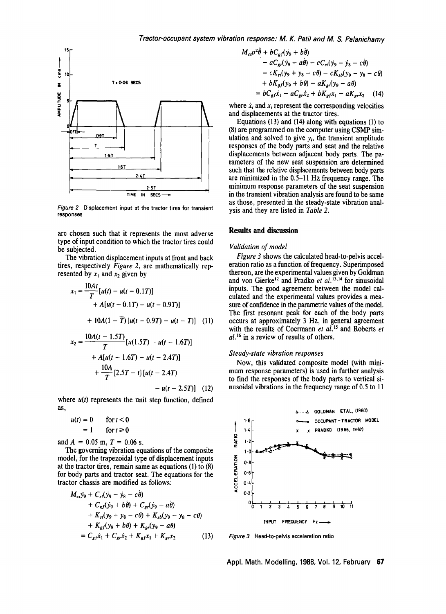

*Figure 2* Displacement input at the **tractor tires for** transient **responses** 

are chosen such that it represents the most adverse type of input condition to which the tractor tires could be subjected.

The vibration displacement inputs at front and back tires, respectively *Figure 2,* are mathematically represented by  $x_1$  and  $x_2$  given by

$$
x_1 = \frac{10At}{T} [u(t) - u(t - 0.1T)]
$$
  
+ A[u(t - 0.1T) - u(t - 0.9T)]  
+ 10A(1 -  $\overline{T}$ )[u(t - 0.9T) - u(t - T)] (11)  
10A(t - 1.5T)

$$
x_2 = \frac{\log(t - 1.5T)}{T} [u(1.5T) - u(t - 1.6T)]
$$
  
+ A[u(t - 1.6T) - u(t - 2.4T)]  
+  $\frac{10A}{T} [2.5T - t] [u(t - 2.4T)]$ 

 $- u(t - 2.5T)$ ] (12)

where  $u(t)$  represents the unit step function, defined as,

$$
u(t) = 0 \qquad \text{for } t < 0
$$

$$
= 1 \qquad \text{for } t \ge 0
$$

and  $A = 0.05$  m,  $T = 0.06$  s.

The governing vibration equations of the composite model, for the trapezoidal type of displacement inputs at the tractor tires, remain same as equations (1) to (8) for body parts and tractor seat. The equations for the tractor chassis are modified as follows:

$$
M_{ci} \ddot{y}_9 + C_{st} (\dot{y}_9 - \dot{y}_8 - c\dot{\theta}) + C_{gf} (\dot{y}_9 + b\dot{\theta}) + C_{gr} (\dot{y}_9 - a\dot{\theta}) + K_{st} (y_9 + y_8 - c\theta) + K_{sb} (y_9 - y_8 - c\theta) + K_{gf} (y_9 + b\theta) + K_{gr} (y_9 - a\theta) = C_{gf} \dot{x}_1 + C_{gr} \dot{x}_2 + K_{gf} x_1 + K_{gr} x_2
$$
 (13)

$$
M_{cf}\rho^2\ddot{\theta} + bC_{gf}(y_9 + b\dot{\theta})
$$
  
-  $aC_{gt}(y_9 - a\dot{\theta}) - cC_{st}(y_9 - y_8 - c\dot{\theta})$   
-  $cK_{st}(y_9 + y_8 - c\theta) - cK_{sb}(y_9 - y_8 - c\theta)$   
+  $bK_{gf}(y_9 + b\theta) - aK_{gt}(y_9 - a\theta)$   
=  $bC_{gf}\dot{x}_1 - aC_{gr}\dot{x}_2 + bK_{gf}x_1 - aK_{gr}x_2$  (14)

where  $\dot{x}_i$  and  $x_i$  represent the corresponding velocities and displacements at the tractor tires.

Equations (13) and (14) along with equations (1) to (8) are programmed on the computer using CSMP simulation and solved to give  $y_i$ , the transient amplitude responses of the body parts and seat and the relative displacements between adjacent body parts. The parameters of the new seat suspension are determined such that the relative displacements between body parts are minimized in the 0.5-11 Hz frequency range. The minimum response parameters of the seat suspension in the transient vibration analysis are found to be same as those, presented in the steady-state vibration analysis and they are listed in *Table 2.* 

# **Results and discussion**

#### *Validation of model*

*Figure 3* shows the calculated head-to-pelvis acceleration ratio as a function of frequency. Superimposed thereon, are the experimental values given by Goldman and von Gierke<sup>12</sup> and Pradko *et al.*<sup>13,14</sup> for sinusoidal inputs. The good agreement between the model calculated and the experimental values provides a measure of confidence in the parametric values of the model. The first resonant peak for each of the body parts occurs at approximately 3 Hz, in general agreement with the results of Coermann et al.<sup>15</sup> and Roberts et *al) 6* in a review of results of others.

#### *Steady-state vibration responses*

Now, this validated composite model (with minimum response parameters) is used in further analysis to find the responses of the body parts to vertical sinusoidal vibrations in the frequency range of 0.5 to 11



*Figure 3*  Head-to-pelvis acceleration ratio

Appl. Math. Modelling, 1988, Vol. 12, February 67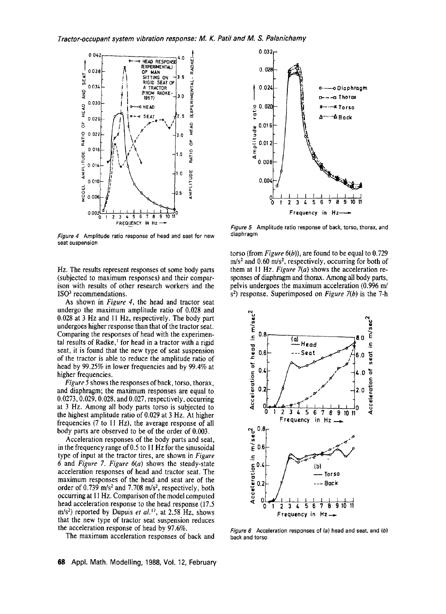

*Figure 4* Amplitude ratio response of head and seat for new **seat** suspension

Hz. The results represent responses at some body parts (subjected to maximum responses) and their comparison with results of other research workers and the ISO<sup>3</sup> recommendations.

As shown in *Figure 4,* the head and tractor seat undergo the maximum amplitude ratio of 0.028 and 0.028 at 3 Hz and 11 Hz, respectively. The body part undergoes higher response than that of the tractor seat. Comparing the responses of head with the experimental results of Radke,<sup> $1$ </sup> for head in a tractor with a rigid seat, it is found that the new type of seat suspension of the tractor is able to reduce the amplitude ratio of head by 99.25% in lower frequencies and by 99.4% at higher frequencies.

*Figure 5* shows the responses of back, torso, thorax, and diaphragm; the maximum responses are equal to 0.0273, 0.029, 0.028, and 0.027, respectively, occurring at 3 Hz. Among all body parts torso is subjected to the highest amplitude ratio of 0.029 at 3 Hz. At higher frequencies (7 to I1 Hz), the average response of all body parts are observed to be of the order of 0.003.

Acceleration responses of the body parts and seat, in the frequency range of  $0.5$  to 11 Hz for the sinusoidal type of input at the tractor tires, are shown in *Figure*  6 and *Figure 7. Figure* 6(a) shows the steady-state acceleration responses of head and tractor seat. The maximum responses of the head and seat are of the order of  $0.739$  m/s<sup>2</sup> and  $7.708$  m/s<sup>2</sup>, respectively, both occurring at 11 Hz. Comparison of the model computed head acceleration response to the head response (17.5 m/s<sup>2</sup>) reported by Dupuis et al.<sup>17</sup>, at 2.58 Hz, shows that the new type of tractor seat suspension reduces the acceleration response of head by 97.6%.

The maximum acceleration responses of back and



*Figure 5* Amplitude ratio response of back, torso, thorax, and diaphragm

torso (from *Figure 6(b)),* are found to be equal to 0.729  $m/s<sup>2</sup>$  and 0.60 m/s<sup>2</sup>, respectively, occurring for both of them at 11 Hz. *Figure 7(a)* shows the acceleration responses of diaphragm and thorax. Among all body parts, pelvis undergoes the maximum acceleration (0.996 m/ s<sup>2</sup>) response. Superimposed on *Figure* 7(b) is the 7-h



*Figure 6* Acceleration responses of (a) head and seat, and (b) back and torso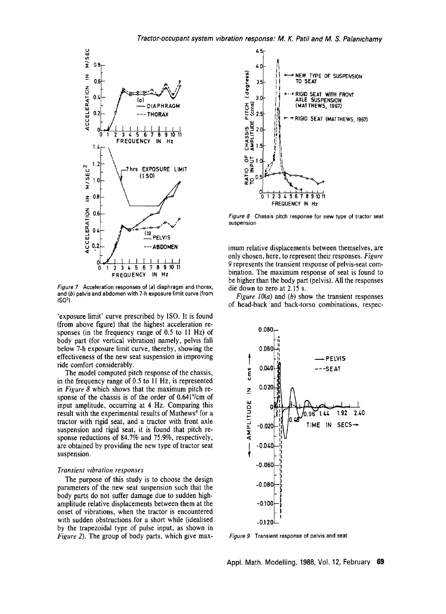

*Figure 7* Acceleration responses of (a) diaphragm and thorax, and (b) pelvis and abdomen with 7-h exposure limit curve (from  $ISO<sup>3</sup>$ 

'exposure limit' curve prescribed by ISO. It is found (from above figure) that the highest acceleration responses (in the frequency range of 0.5 to I1 Hz) of body part (for vertical vibration) namely, pelvis fall below 7-h exposure limit curve, thereby, showing the effectiveness of the new seat suspension in improving ride comfort considerably.

The model computed pitch response of the chassis, in the frequency range of 0.5 to 11 Hz, is represented in *Figure 8* which shows that the maximum pitch response of the chassis is of the order of 0.641°/cm of input amplitude, occurring at 4 Hz. Comparing this result with the experimental results of Mathews<sup>4</sup> for a tractor with rigid seat, and a tractor with front axle suspension and rigid seat, it is found that pitch response reductions of 84.7% and 75.9%, respectively, are obtained by providing the new type of tractor seat suspension.

#### *Transient vibration responses*

The purpose of this study is to choose the design parameters of the new seat suspension such that the body parts do not suffer damage due to sudden highamplitude relative displacements between them at the onset of vibrations, when the tractor is encountered with sudden obstructions for a short while (idealised by the trapezoidal type of pulse input, as shown in *Figure 2).* The group of body parts, which give max-



*Figure 8* Chassis pitch response for new type of tractor **seat**  suspension

imum relative displacements between themselves, are only chosen, here, to represent their responses. *Figure*  9 represents the transient response of pelvis-seat combination. The maximum response of seat is found to be higher than the body part (pelvis). All the responses die down to zero at 2.15 s.

*Figure 10(a)* and (b) show the transient responses of head-back and back-torso combinations, respec-



Figure 9 Transient response of pelvis and seat

Appl. Math. Modelling, 1988, Vol. 12, February 69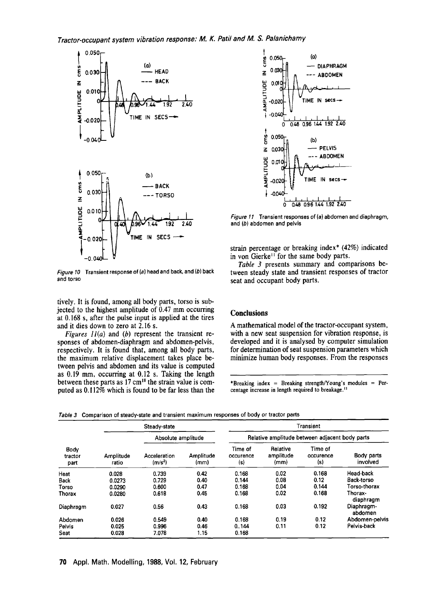

*Figure 10* Transient response of (a) head and back, and (b) back and torso

tively. It is found, among all body parts, torso is subjected to the highest amplitude of 0.47 mm occurring at 0.168 s, after the pulse input is applied at the tires and it dies down to zero at 2.16 s.

*Figures 11(a)* and (b) represent the transient responses of abdomen-diaphragm and abdomen-pelvis, respectively. It is found that, among all body parts, the maximum relative displacement takes place between pelvis and abdomen and its value is computed as  $0.19$  mm, occurring at  $0.12$  s. Taking the length between these parts as 17 cm<sup>18</sup> the strain value is computed as 0.112% which is found to be far less than the



*Figure 11* Transient responses of (a) abdomen and diaphragm, and (b) abdomen and pelvis

strain percentage or breaking index\* (42%) indicated in von Gierke<sup> $1$ </sup> for the same body parts.

*Table 3* presents summary and comparisons between steady state and transient responses of tractor seat and occupant body parts.

## **Conclusions**

A mathematical model of the tractor-occupant system, with a new seat suspension for vibration response, is developed and it is analysed by computer simulation for determination of seat suspension parameters which minimize human body responses. From the responses

\*Breaking index = Breaking strength/Young's modules = Percentage increase in length required to breakage.<sup>11</sup>

*Table 3* Comparison of steady-state and transient maximum responses of body or tractor parts

| Body<br>tractor<br>part | Steady-state       |                                     | Transient         |                                                |                               |                             |                        |
|-------------------------|--------------------|-------------------------------------|-------------------|------------------------------------------------|-------------------------------|-----------------------------|------------------------|
|                         |                    | Absolute amplitude                  |                   | Relative amplitude between adjacent body parts |                               |                             |                        |
|                         | Amplitude<br>ratio | Acceleration<br>(m/s <sup>2</sup> ) | Amplitude<br>(mm) | Time of<br>occurence<br>(s)                    | Relative<br>amplitude<br>(mm) | Time of<br>occurence<br>(s) | Body parts<br>involved |
| Heat                    | 0.028              | 0.739                               | 0.42              | 0.168                                          | 0.02                          | 0.168                       | Head-back              |
| Back                    | 0.0273             | 0.729                               | 0.40              | 0.144                                          | 0.08                          | 0.12                        | <b>Back-torso</b>      |
| Torso                   | 0.0290             | 0.600                               | 0.47              | 0.168                                          | 0.04                          | 0.144                       | Torso-thorax           |
| Thorax                  | 0.0280             | 0.618                               | 0.45              | 0.168                                          | 0.02                          | 0.168                       | Thorax-<br>diaphragm   |
| Diaphragm               | 0.027              | 0.56                                | 0.43              | 0.168                                          | 0.03                          | 0.192                       | Diaphragm-<br>abdomen  |
| Abdomen                 | 0.026              | 0.549                               | 0.40              | 0.168                                          | 0.19                          | 0.12                        | Abdomen-pelvis         |
| Pelvis                  | 0.025              | 0.996                               | 0.46              | 0.144                                          | 0.11                          | 0.12                        | Pelvis-back            |
| Seat                    | 0.028              | 7.078                               | 1.15              | 0.168                                          |                               |                             |                        |